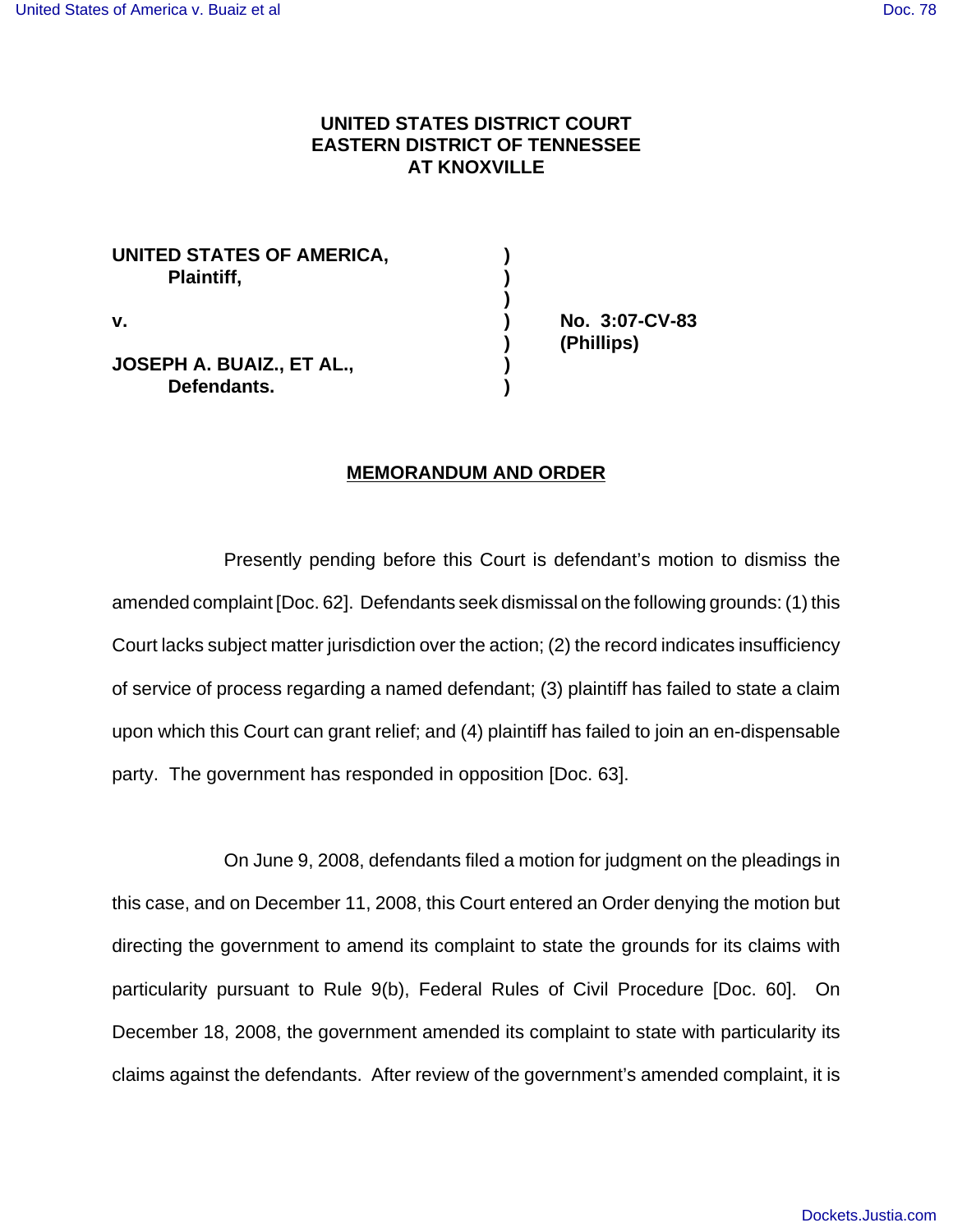## **UNITED STATES DISTRICT COURT EASTERN DISTRICT OF TENNESSEE AT KNOXVILLE**

| UNITED STATES OF AMERICA,<br>Plaintiff,         |  |
|-------------------------------------------------|--|
| v.                                              |  |
| <b>JOSEPH A. BUAIZ., ET AL.,</b><br>Defendants. |  |

**v. ) No. 3:07-CV-83 ) (Phillips)**

## **MEMORANDUM AND ORDER**

Presently pending before this Court is defendant's motion to dismiss the amended complaint [Doc. 62]. Defendants seek dismissal on the following grounds: (1) this Court lacks subject matter jurisdiction over the action; (2) the record indicates insufficiency of service of process regarding a named defendant; (3) plaintiff has failed to state a claim upon which this Court can grant relief; and (4) plaintiff has failed to join an en-dispensable party. The government has responded in opposition [Doc. 63].

On June 9, 2008, defendants filed a motion for judgment on the pleadings in this case, and on December 11, 2008, this Court entered an Order denying the motion but directing the government to amend its complaint to state the grounds for its claims with particularity pursuant to Rule 9(b), Federal Rules of Civil Procedure [Doc. 60]. On December 18, 2008, the government amended its complaint to state with particularity its claims against the defendants. After review of the government's amended complaint, it is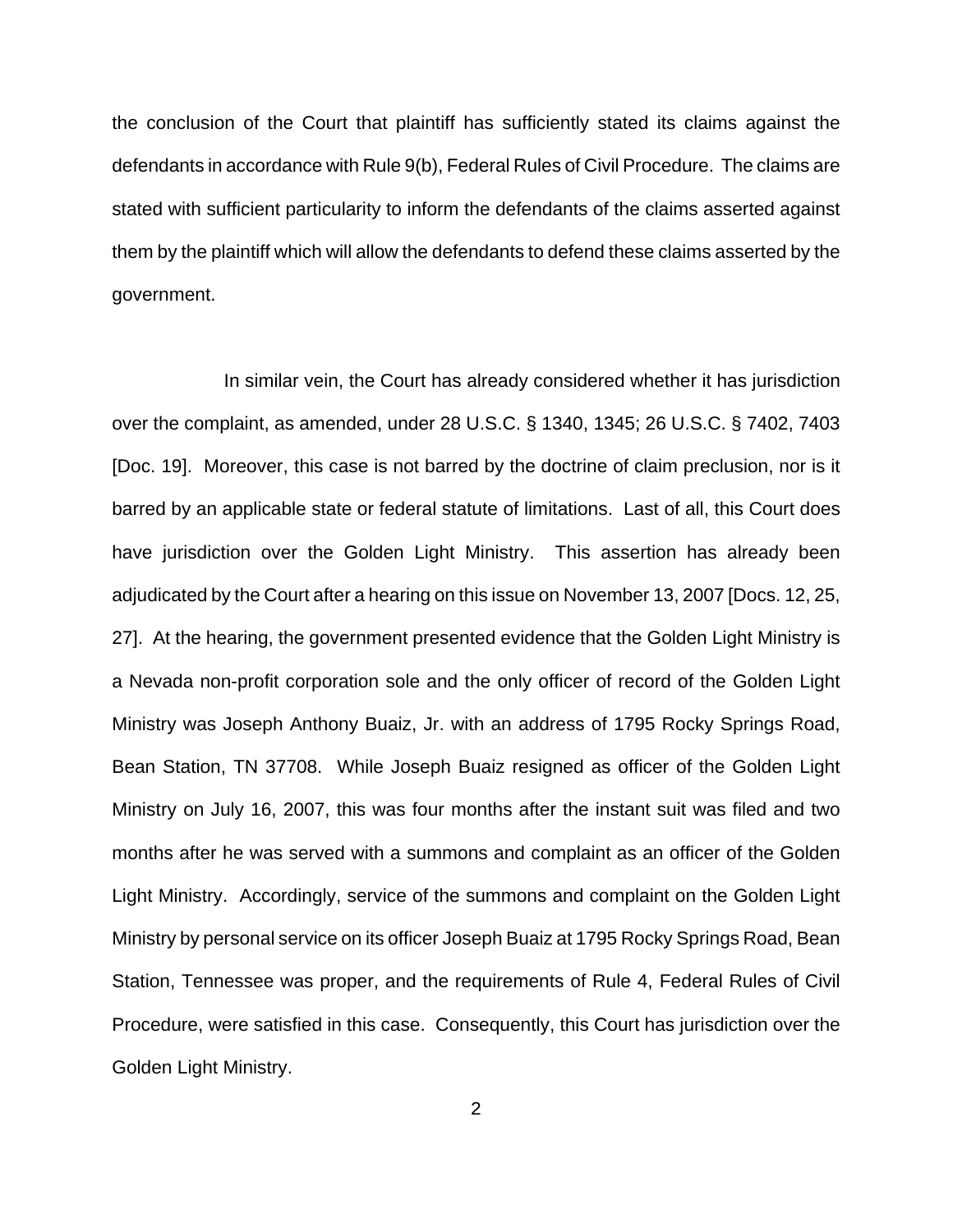the conclusion of the Court that plaintiff has sufficiently stated its claims against the defendants in accordance with Rule 9(b), Federal Rules of Civil Procedure. The claims are stated with sufficient particularity to inform the defendants of the claims asserted against them by the plaintiff which will allow the defendants to defend these claims asserted by the government.

In similar vein, the Court has already considered whether it has jurisdiction over the complaint, as amended, under 28 U.S.C. § 1340, 1345; 26 U.S.C. § 7402, 7403 [Doc. 19]. Moreover, this case is not barred by the doctrine of claim preclusion, nor is it barred by an applicable state or federal statute of limitations. Last of all, this Court does have jurisdiction over the Golden Light Ministry. This assertion has already been adjudicated by the Court after a hearing on this issue on November 13, 2007 [Docs. 12, 25, 27]. At the hearing, the government presented evidence that the Golden Light Ministry is a Nevada non-profit corporation sole and the only officer of record of the Golden Light Ministry was Joseph Anthony Buaiz, Jr. with an address of 1795 Rocky Springs Road, Bean Station, TN 37708. While Joseph Buaiz resigned as officer of the Golden Light Ministry on July 16, 2007, this was four months after the instant suit was filed and two months after he was served with a summons and complaint as an officer of the Golden Light Ministry. Accordingly, service of the summons and complaint on the Golden Light Ministry by personal service on its officer Joseph Buaiz at 1795 Rocky Springs Road, Bean Station, Tennessee was proper, and the requirements of Rule 4, Federal Rules of Civil Procedure, were satisfied in this case. Consequently, this Court has jurisdiction over the Golden Light Ministry.